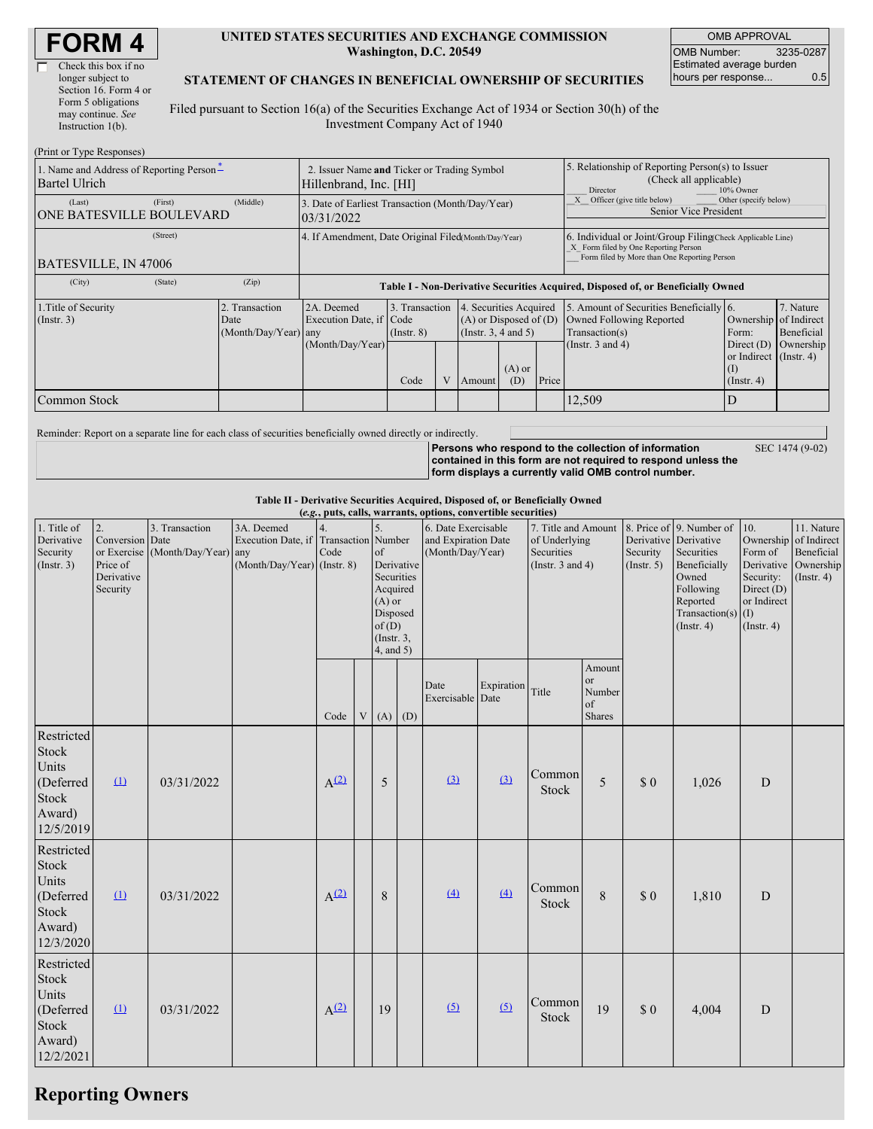| <b>FORM4</b> |
|--------------|
|--------------|

| Check this box if no  |
|-----------------------|
| longer subject to     |
| Section 16. Form 4 or |
| Form 5 obligations    |
| may continue. See     |
| Instruction $1(b)$ .  |
|                       |

 $(2p, 1, 1, \ldots, T)$  and  $p$ 

Г

#### **UNITED STATES SECURITIES AND EXCHANGE COMMISSION Washington, D.C. 20549**

OMB APPROVAL OMB Number: 3235-0287 Estimated average burden hours per response... 0.5

#### **STATEMENT OF CHANGES IN BENEFICIAL OWNERSHIP OF SECURITIES**

Filed pursuant to Section 16(a) of the Securities Exchange Act of 1934 or Section 30(h) of the Investment Company Act of 1940

| (Print or Type Responses)                                          |                                                                       |                                                      |                                                                                  |                                   |  |                                                                              |                                                                                                     |                                                                                                                                                    |                                                                                                                |                                                  |                                      |
|--------------------------------------------------------------------|-----------------------------------------------------------------------|------------------------------------------------------|----------------------------------------------------------------------------------|-----------------------------------|--|------------------------------------------------------------------------------|-----------------------------------------------------------------------------------------------------|----------------------------------------------------------------------------------------------------------------------------------------------------|----------------------------------------------------------------------------------------------------------------|--------------------------------------------------|--------------------------------------|
| 1. Name and Address of Reporting Person-<br><b>Bartel Ulrich</b>   | 2. Issuer Name and Ticker or Trading Symbol<br>Hillenbrand, Inc. [HI] |                                                      |                                                                                  |                                   |  |                                                                              | 5. Relationship of Reporting Person(s) to Issuer<br>(Check all applicable)<br>Director<br>10% Owner |                                                                                                                                                    |                                                                                                                |                                                  |                                      |
| (Last)<br><b>ONE BATESVILLE BOULEVARD</b>                          | (First)                                                               | (Middle)                                             | 3. Date of Earliest Transaction (Month/Day/Year)<br>03/31/2022                   |                                   |  |                                                                              | Officer (give title below)                                                                          | Other (specify below)<br>Senior Vice President                                                                                                     |                                                                                                                |                                                  |                                      |
| <b>BATESVILLE, IN 47006</b>                                        |                                                                       | 4. If Amendment, Date Original Filed(Month/Day/Year) |                                                                                  |                                   |  |                                                                              |                                                                                                     | 6. Individual or Joint/Group Filing Check Applicable Line)<br>X Form filed by One Reporting Person<br>Form filed by More than One Reporting Person |                                                                                                                |                                                  |                                      |
| (City)                                                             | (State)                                                               | (Zip)                                                | Table I - Non-Derivative Securities Acquired, Disposed of, or Beneficially Owned |                                   |  |                                                                              |                                                                                                     |                                                                                                                                                    |                                                                                                                |                                                  |                                      |
| 1. Title of Security<br>2. Transaction<br>$($ Instr. 3 $)$<br>Date |                                                                       | (Month/Day/Year) any                                 | 2A. Deemed<br>Execution Date, if Code<br>(Month/Day/Year)                        | 3. Transaction<br>$($ Instr. $8)$ |  | 4. Securities Acquired<br>$(A)$ or Disposed of $(D)$<br>(Insert. 3, 4 and 5) |                                                                                                     |                                                                                                                                                    | 5. Amount of Securities Beneficially 6.<br>Owned Following Reported<br>Transaction(s)<br>(Instr. $3$ and $4$ ) | Ownership of Indirect<br>Form:<br>Direct $(D)$   | 7. Nature<br>Beneficial<br>Ownership |
|                                                                    |                                                                       |                                                      |                                                                                  | Code                              |  | Amount                                                                       | $(A)$ or<br>(D)                                                                                     | Price                                                                                                                                              |                                                                                                                | or Indirect $($ Instr. 4 $)$<br>$($ Instr. 4 $)$ |                                      |
| Common Stock                                                       |                                                                       |                                                      |                                                                                  |                                   |  |                                                                              |                                                                                                     |                                                                                                                                                    | 12,509                                                                                                         |                                                  |                                      |

Reminder: Report on a separate line for each class of securities beneficially owned directly or indirectly.

**Persons who respond to the collection of information contained in this form are not required to respond unless the form displays a currently valid OMB control number.** SEC 1474 (9-02)

**Table II - Derivative Securities Acquired, Disposed of, or Beneficially Owned**

| (e.g., puts, calls, warrants, options, convertible securities)            |                                                             |                                                    |                                                                                      |                  |   |                                                                                                                                                                                     |  |                                                                             |            |                         |                                                                                                                                                               |                                                                                                                            |                                        |           |  |
|---------------------------------------------------------------------------|-------------------------------------------------------------|----------------------------------------------------|--------------------------------------------------------------------------------------|------------------|---|-------------------------------------------------------------------------------------------------------------------------------------------------------------------------------------|--|-----------------------------------------------------------------------------|------------|-------------------------|---------------------------------------------------------------------------------------------------------------------------------------------------------------|----------------------------------------------------------------------------------------------------------------------------|----------------------------------------|-----------|--|
| 1. Title of<br>Derivative<br>Security<br>(Insert. 3)                      | 2.<br>Conversion Date<br>Price of<br>Derivative<br>Security | 3. Transaction<br>or Exercise (Month/Day/Year) any | 3A. Deemed<br>Execution Date, if Transaction Number<br>$(Month/Day/Year)$ (Instr. 8) | Code             |   | 6. Date Exercisable<br>5.<br>and Expiration Date<br>(Month/Day/Year)<br>of<br>Derivative<br>Securities<br>Acquired<br>$(A)$ or<br>Disposed<br>of(D)<br>$($ Instr. $3,$<br>4, and 5) |  | 7. Title and Amount<br>of Underlying<br>Securities<br>(Instr. $3$ and $4$ ) |            | Security<br>(Insert. 5) | 8. Price of 9. Number of<br>Derivative Derivative<br>Securities<br>Beneficially<br>Owned<br>Following<br>Reported<br>Transaction(s) $(I)$<br>$($ Instr. 4 $)$ | 10.<br>Ownership of Indirect<br>Form of<br>Derivative Ownership<br>Security:<br>Direct $(D)$<br>or Indirect<br>(Insert. 4) | 11. Nature<br>Beneficial<br>(Insert 4) |           |  |
|                                                                           |                                                             |                                                    |                                                                                      | Code             | V | $(A)$ $(D)$                                                                                                                                                                         |  | Date<br>Exercisable Date                                                    | Expiration | Title                   | Amount<br><b>or</b><br>Number<br>of<br><b>Shares</b>                                                                                                          |                                                                                                                            |                                        |           |  |
| Restricted<br>Stock<br>Units<br>(Deferred<br>Stock<br>Award)<br>12/5/2019 | $\Omega$                                                    | 03/31/2022                                         |                                                                                      | $A^{(2)}$        |   | 5                                                                                                                                                                                   |  | $\underline{3}$                                                             | (3)        | Common<br>Stock         | 5                                                                                                                                                             | \$0                                                                                                                        | 1,026                                  | ${\bf D}$ |  |
| Restricted<br>Stock<br>Units<br>(Deferred<br>Stock<br>Award)<br>12/3/2020 | $\Omega$                                                    | 03/31/2022                                         |                                                                                      | $A^{(2)}$        |   | 8                                                                                                                                                                                   |  | (4)                                                                         | (4)        | Common<br>Stock         | 8                                                                                                                                                             | \$0                                                                                                                        | 1,810                                  | D         |  |
| Restricted<br>Stock<br>Units<br>(Deferred<br>Stock<br>Award)<br>12/2/2021 | $\Omega$                                                    | 03/31/2022                                         |                                                                                      | A <sup>(2)</sup> |   | 19                                                                                                                                                                                  |  | (5)                                                                         | (5)        | Common<br>Stock         | 19                                                                                                                                                            | \$0                                                                                                                        | 4,004                                  | ${\bf D}$ |  |

## **Reporting Owners**